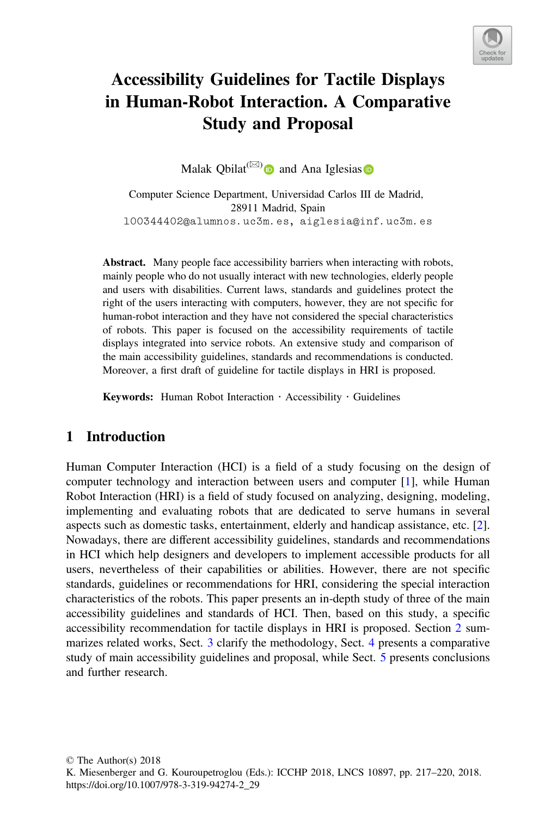

# Accessibility Guidelines for Tactile Displays in Human-Robot Interaction. A Comparative Study and Proposal

Malak Qbilat<[s](http://orcid.org/0000-0002-4685-5034)up>( $\boxtimes$ [\)](http://orcid.org/0000-0001-8394-8267)</sup> and Ana Iglesias **D** 

Computer Science Department, Universidad Carlos III de Madrid, 28911 Madrid, Spain  $\frac{1}{2}$  , and  $\frac{1}{2}$  , and  $\frac{1}{2}$ 

Abstract. Many people face accessibility barriers when interacting with robots, mainly people who do not usually interact with new technologies, elderly people and users with disabilities. Current laws, standards and guidelines protect the right of the users interacting with computers, however, they are not specific for human-robot interaction and they have not considered the special characteristics of robots. This paper is focused on the accessibility requirements of tactile displays integrated into service robots. An extensive study and comparison of the main accessibility guidelines, standards and recommendations is conducted. Moreover, a first draft of guideline for tactile displays in HRI is proposed.

Keywords: Human Robot Interaction  $\cdot$  Accessibility  $\cdot$  Guidelines

### 1 Introduction

Human Computer Interaction (HCI) is a field of a study focusing on the design of computer technology and interaction between users and computer [\[1](#page-3-0)], while Human Robot Interaction (HRI) is a field of study focused on analyzing, designing, modeling, implementing and evaluating robots that are dedicated to serve humans in several aspects such as domestic tasks, entertainment, elderly and handicap assistance, etc. [[2\]](#page-3-0). Nowadays, there are different accessibility guidelines, standards and recommendations in HCI which help designers and developers to implement accessible products for all users, nevertheless of their capabilities or abilities. However, there are not specific standards, guidelines or recommendations for HRI, considering the special interaction characteristics of the robots. This paper presents an in-depth study of three of the main accessibility guidelines and standards of HCI. Then, based on this study, a specific accessibility recommendation for tactile displays in HRI is proposed. Section [2](#page-1-0) summarizes related works, Sect. [3](#page-1-0) clarify the methodology, Sect. [4](#page-2-0) presents a comparative study of main accessibility guidelines and proposal, while Sect. [5](#page-2-0) presents conclusions and further research.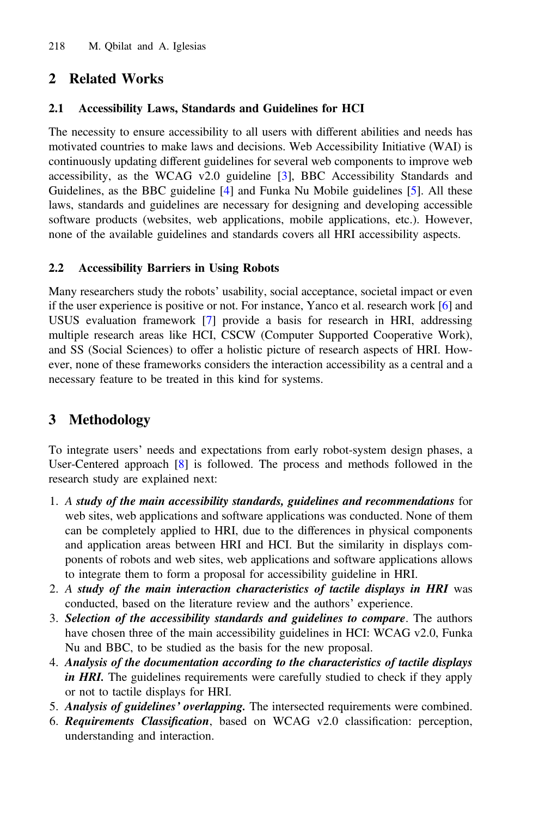### <span id="page-1-0"></span>2 Related Works

#### 2.1 Accessibility Laws, Standards and Guidelines for HCI

The necessity to ensure accessibility to all users with different abilities and needs has motivated countries to make laws and decisions. Web Accessibility Initiative (WAI) is continuously updating different guidelines for several web components to improve web accessibility, as the WCAG v2.0 guideline [[3\]](#page-3-0), BBC Accessibility Standards and Guidelines, as the BBC guideline [\[4](#page-3-0)] and Funka Nu Mobile guidelines [\[5](#page-3-0)]. All these laws, standards and guidelines are necessary for designing and developing accessible software products (websites, web applications, mobile applications, etc.). However, none of the available guidelines and standards covers all HRI accessibility aspects.

#### 2.2 Accessibility Barriers in Using Robots

Many researchers study the robots' usability, social acceptance, societal impact or even if the user experience is positive or not. For instance, Yanco et al. research work [[6\]](#page-3-0) and USUS evaluation framework [\[7](#page-3-0)] provide a basis for research in HRI, addressing multiple research areas like HCI, CSCW (Computer Supported Cooperative Work), and SS (Social Sciences) to offer a holistic picture of research aspects of HRI. However, none of these frameworks considers the interaction accessibility as a central and a necessary feature to be treated in this kind for systems.

## 3 Methodology

To integrate users' needs and expectations from early robot-system design phases, a User-Centered approach [[8\]](#page-3-0) is followed. The process and methods followed in the research study are explained next:

- 1. A study of the main accessibility standards, guidelines and recommendations for web sites, web applications and software applications was conducted. None of them can be completely applied to HRI, due to the differences in physical components and application areas between HRI and HCI. But the similarity in displays components of robots and web sites, web applications and software applications allows to integrate them to form a proposal for accessibility guideline in HRI.
- 2. A study of the main interaction characteristics of tactile displays in HRI was conducted, based on the literature review and the authors' experience.
- 3. Selection of the accessibility standards and guidelines to compare. The authors have chosen three of the main accessibility guidelines in HCI: WCAG v2.0, Funka Nu and BBC, to be studied as the basis for the new proposal.
- 4. Analysis of the documentation according to the characteristics of tactile displays in HRI. The guidelines requirements were carefully studied to check if they apply or not to tactile displays for HRI.
- 5. Analysis of guidelines' overlapping. The intersected requirements were combined.
- 6. Requirements Classification, based on WCAG v2.0 classification: perception, understanding and interaction.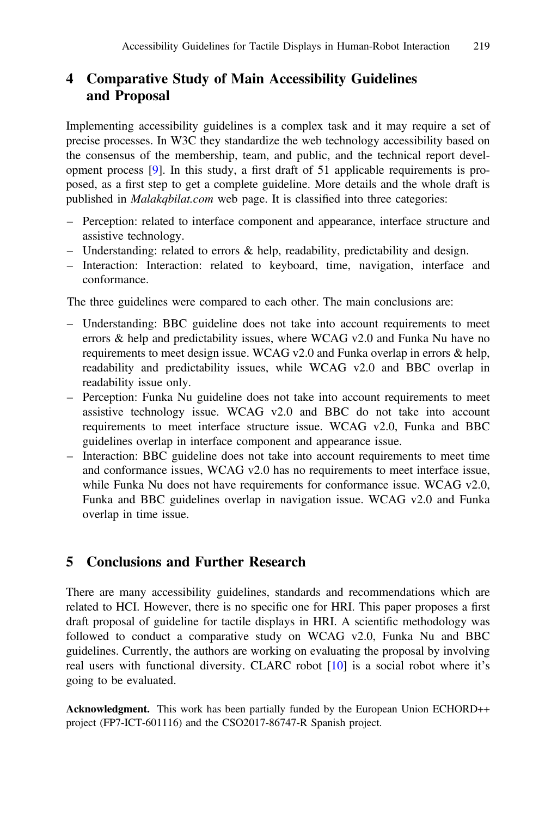### <span id="page-2-0"></span>4 Comparative Study of Main Accessibility Guidelines and Proposal

Implementing accessibility guidelines is a complex task and it may require a set of precise processes. In W3C they standardize the web technology accessibility based on the consensus of the membership, team, and public, and the technical report development process [\[9](#page-3-0)]. In this study, a first draft of 51 applicable requirements is proposed, as a first step to get a complete guideline. More details and the whole draft is published in Malakqbilat.com web page. It is classified into three categories:

- Perception: related to interface component and appearance, interface structure and assistive technology.
- Understanding: related to errors & help, readability, predictability and design.
- Interaction: Interaction: related to keyboard, time, navigation, interface and conformance.

The three guidelines were compared to each other. The main conclusions are:

- Understanding: BBC guideline does not take into account requirements to meet errors & help and predictability issues, where WCAG v2.0 and Funka Nu have no requirements to meet design issue. WCAG v2.0 and Funka overlap in errors & help, readability and predictability issues, while WCAG v2.0 and BBC overlap in readability issue only.
- Perception: Funka Nu guideline does not take into account requirements to meet assistive technology issue. WCAG v2.0 and BBC do not take into account requirements to meet interface structure issue. WCAG v2.0, Funka and BBC guidelines overlap in interface component and appearance issue.
- Interaction: BBC guideline does not take into account requirements to meet time and conformance issues, WCAG v2.0 has no requirements to meet interface issue, while Funka Nu does not have requirements for conformance issue. WCAG v2.0, Funka and BBC guidelines overlap in navigation issue. WCAG v2.0 and Funka overlap in time issue.

### 5 Conclusions and Further Research

There are many accessibility guidelines, standards and recommendations which are related to HCI. However, there is no specific one for HRI. This paper proposes a first draft proposal of guideline for tactile displays in HRI. A scientific methodology was followed to conduct a comparative study on WCAG v2.0, Funka Nu and BBC guidelines. Currently, the authors are working on evaluating the proposal by involving real users with functional diversity. CLARC robot [[10\]](#page-3-0) is a social robot where it's going to be evaluated.

Acknowledgment. This work has been partially funded by the European Union ECHORD++ project (FP7-ICT-601116) and the CSO2017-86747-R Spanish project.